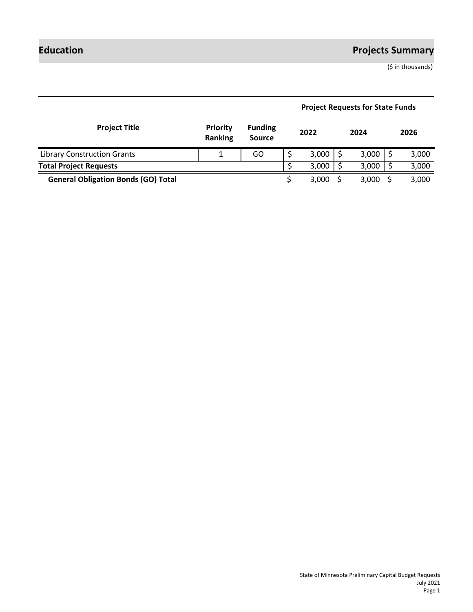# **Education Projects Summary**

(\$ in thousands)

| <b>Project Title</b>                       | <b>Priority</b><br>Ranking | <b>Funding</b><br><b>Source</b> |  | 2022  |  | 2024         |  | 2026  |
|--------------------------------------------|----------------------------|---------------------------------|--|-------|--|--------------|--|-------|
| <b>Library Construction Grants</b>         |                            | GO                              |  | 3,000 |  | $3,000$   \$ |  | 3,000 |
| <b>Total Project Requests</b>              |                            |                                 |  | 3,000 |  | 3,000        |  | 3,000 |
| <b>General Obligation Bonds (GO) Total</b> |                            |                                 |  | 3,000 |  | 3,000        |  | 3,000 |

# **Project Requests for State Funds**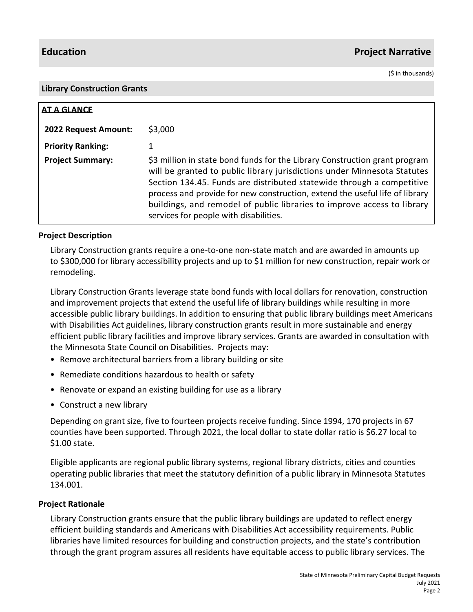## **Education Project Narrative**

(\$ in thousands)

#### **Library Construction Grants**

| <b>AT A GLANCE</b>       |                                                                                                                                                                                                                                                                                                                                                                                                                                     |
|--------------------------|-------------------------------------------------------------------------------------------------------------------------------------------------------------------------------------------------------------------------------------------------------------------------------------------------------------------------------------------------------------------------------------------------------------------------------------|
| 2022 Request Amount:     | \$3,000                                                                                                                                                                                                                                                                                                                                                                                                                             |
| <b>Priority Ranking:</b> |                                                                                                                                                                                                                                                                                                                                                                                                                                     |
| <b>Project Summary:</b>  | \$3 million in state bond funds for the Library Construction grant program<br>will be granted to public library jurisdictions under Minnesota Statutes<br>Section 134.45. Funds are distributed statewide through a competitive<br>process and provide for new construction, extend the useful life of library<br>buildings, and remodel of public libraries to improve access to library<br>services for people with disabilities. |

#### **Project Description**

Library Construction grants require a one-to-one non-state match and are awarded in amounts up to \$300,000 for library accessibility projects and up to \$1 million for new construction, repair work or remodeling.

Library Construction Grants leverage state bond funds with local dollars for renovation, construction and improvement projects that extend the useful life of library buildings while resulting in more accessible public library buildings. In addition to ensuring that public library buildings meet Americans with Disabilities Act guidelines, library construction grants result in more sustainable and energy efficient public library facilities and improve library services. Grants are awarded in consultation with the Minnesota State Council on Disabilities. Projects may:

- Remove architectural barriers from a library building or site
- Remediate conditions hazardous to health or safety
- Renovate or expand an existing building for use as a library
- Construct a new library

Depending on grant size, five to fourteen projects receive funding. Since 1994, 170 projects in 67 counties have been supported. Through 2021, the local dollar to state dollar ratio is \$6.27 local to \$1.00 state.

Eligible applicants are regional public library systems, regional library districts, cities and counties operating public libraries that meet the statutory definition of a public library in Minnesota Statutes 134.001.

#### **Project Rationale**

Library Construction grants ensure that the public library buildings are updated to reflect energy efficient building standards and Americans with Disabilities Act accessibility requirements. Public libraries have limited resources for building and construction projects, and the state's contribution through the grant program assures all residents have equitable access to public library services. The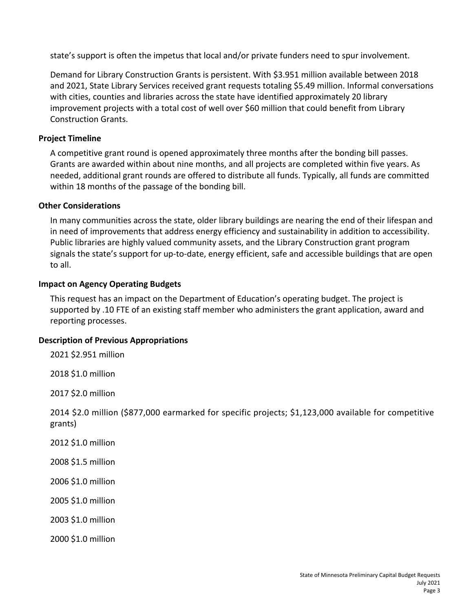state's support is often the impetus that local and/or private funders need to spur involvement.

Demand for Library Construction Grants is persistent. With \$3.951 million available between 2018 and 2021, State Library Services received grant requests totaling \$5.49 million. Informal conversations with cities, counties and libraries across the state have identified approximately 20 library improvement projects with a total cost of well over \$60 million that could benefit from Library Construction Grants.

#### **Project Timeline**

A competitive grant round is opened approximately three months after the bonding bill passes. Grants are awarded within about nine months, and all projects are completed within five years. As needed, additional grant rounds are offered to distribute all funds. Typically, all funds are committed within 18 months of the passage of the bonding bill.

#### **Other Considerations**

In many communities across the state, older library buildings are nearing the end of their lifespan and in need of improvements that address energy efficiency and sustainability in addition to accessibility. Public libraries are highly valued community assets, and the Library Construction grant program signals the state's support for up-to-date, energy efficient, safe and accessible buildings that are open to all.

#### **Impact on Agency Operating Budgets**

This request has an impact on the Department of Education's operating budget. The project is supported by .10 FTE of an existing staff member who administers the grant application, award and reporting processes.

### **Description of Previous Appropriations**

2021 \$2.951 million

2018 \$1.0 million

2017 \$2.0 million

2014 \$2.0 million (\$877,000 earmarked for specific projects; \$1,123,000 available for competitive grants)

2012 \$1.0 million

2008 \$1.5 million

2006 \$1.0 million

2005 \$1.0 million

2003 \$1.0 million

2000 \$1.0 million